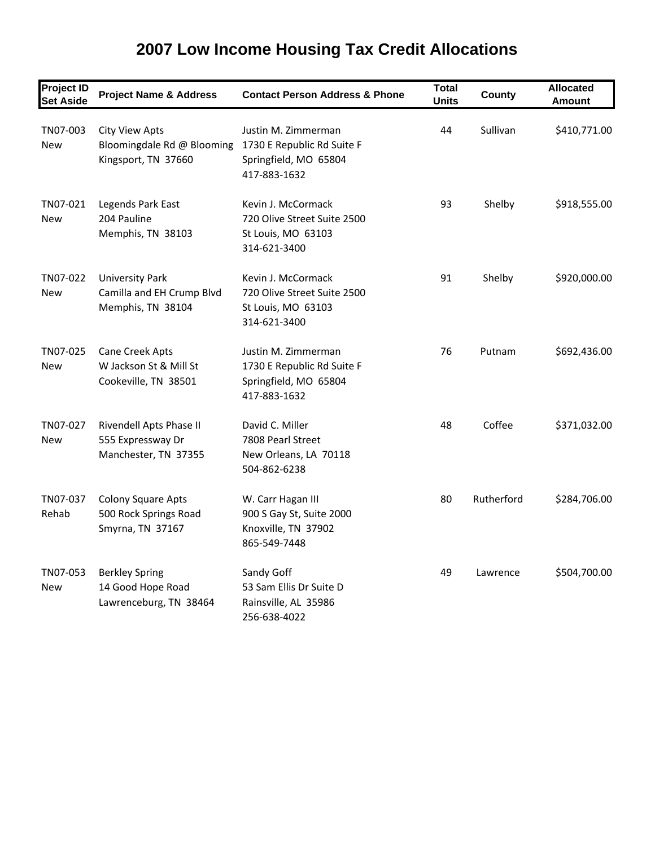| <b>Project ID</b><br><b>Set Aside</b> | <b>Project Name &amp; Address</b>                                          | <b>Contact Person Address &amp; Phone</b>                                                  | <b>Total</b><br><b>Units</b> | <b>County</b> | <b>Allocated</b><br><b>Amount</b> |
|---------------------------------------|----------------------------------------------------------------------------|--------------------------------------------------------------------------------------------|------------------------------|---------------|-----------------------------------|
| TN07-003<br><b>New</b>                | <b>City View Apts</b><br>Bloomingdale Rd @ Blooming<br>Kingsport, TN 37660 | Justin M. Zimmerman<br>1730 E Republic Rd Suite F<br>Springfield, MO 65804<br>417-883-1632 | 44                           | Sullivan      | \$410,771.00                      |
| TN07-021<br><b>New</b>                | Legends Park East<br>204 Pauline<br>Memphis, TN 38103                      | Kevin J. McCormack<br>720 Olive Street Suite 2500<br>St Louis, MO 63103<br>314-621-3400    | 93                           | Shelby        | \$918,555.00                      |
| TN07-022<br>New                       | <b>University Park</b><br>Camilla and EH Crump Blvd<br>Memphis, TN 38104   | Kevin J. McCormack<br>720 Olive Street Suite 2500<br>St Louis, MO 63103<br>314-621-3400    | 91                           | Shelby        | \$920,000.00                      |
| TN07-025<br>New                       | Cane Creek Apts<br>W Jackson St & Mill St<br>Cookeville, TN 38501          | Justin M. Zimmerman<br>1730 E Republic Rd Suite F<br>Springfield, MO 65804<br>417-883-1632 | 76                           | Putnam        | \$692,436.00                      |
| TN07-027<br>New                       | Rivendell Apts Phase II<br>555 Expressway Dr<br>Manchester, TN 37355       | David C. Miller<br>7808 Pearl Street<br>New Orleans, LA 70118<br>504-862-6238              | 48                           | Coffee        | \$371,032.00                      |
| TN07-037<br>Rehab                     | <b>Colony Square Apts</b><br>500 Rock Springs Road<br>Smyrna, TN 37167     | W. Carr Hagan III<br>900 S Gay St, Suite 2000<br>Knoxville, TN 37902<br>865-549-7448       | 80                           | Rutherford    | \$284,706.00                      |
| TN07-053<br>New                       | <b>Berkley Spring</b><br>14 Good Hope Road<br>Lawrenceburg, TN 38464       | Sandy Goff<br>53 Sam Ellis Dr Suite D<br>Rainsville, AL 35986<br>256-638-4022              | 49                           | Lawrence      | \$504,700.00                      |

## **2007 Low Income Housing Tax Credit Allocations**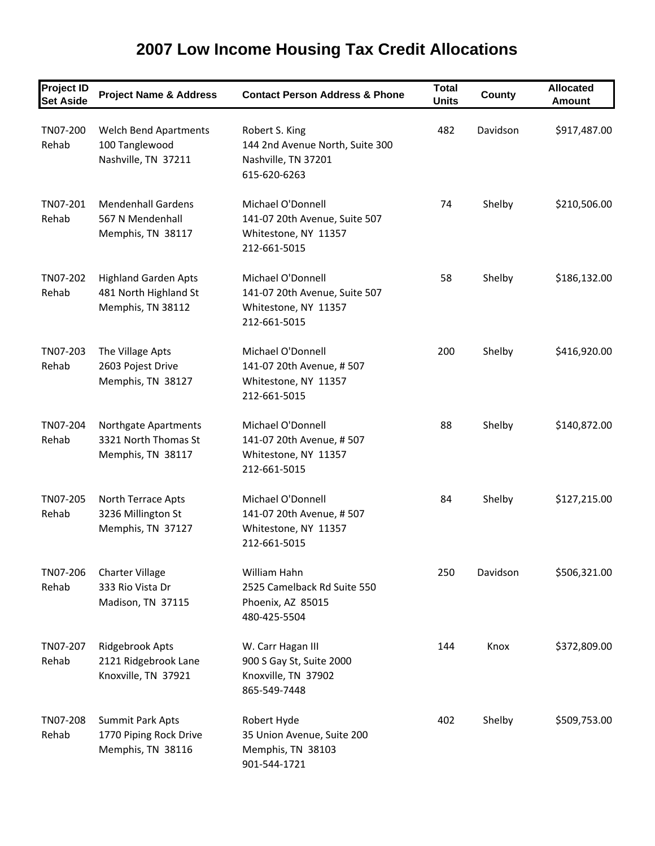## **Project ID Set Aside Project Name & Address Contact Person Address & Phone Total Units County Allocated Amount** TN07‐200 Welch Bend Apartments Robert S. King 482 Davidson \$917,487.00 Rehab 100 Tanglewood 144 2nd Avenue North, Suite 300 Nashville, TN 37211 Nashville, TN 37201 615‐620‐6263 TN07‐201 Mendenhall Gardens Michael O'Donnell 74 Shelby \$210,506.00 Rehab 567 N Mendenhall 141-07 20th Avenue, Suite 507 Memphis, TN 38117 Whitestone, NY 11357 212‐661‐5015 TN07‐202 Highland Garden Apts Michael O'Donnell 58 Shelby \$186,132.00 Rehab 481 North Highland St 141-07 20th Avenue, Suite 507 Memphis, TN 38112 Whitestone, NY 11357 212‐661‐5015 TN07-203 The Village Apts Michael O'Donnell 200 Shelby \$416,920.00 Rehab 2603 Pojest Drive 141‐07 20th Avenue, # 507 Memphis, TN 38127 Whitestone, NY 11357 212‐661‐5015 TN07‐204 Northgate Apartments Michael O'Donnell 88 Shelby \$140,872.00 Rehab 3321 North Thomas St 141-07 20th Avenue, # 507 Memphis, TN 38117 Whitestone, NY 11357 212‐661‐5015 TN07‐205 North Terrace Apts Michael O'Donnell 84 Shelby \$127,215.00 Rehab 3236 Millington St 141‐07 20th Avenue, # 507 Memphis, TN 37127 Whitestone, NY 11357 212‐661‐5015 TN07‐206 Charter Village William Hahn 250 Davidson \$506,321.00 Rehab 333 Rio Vista Dr 2525 Camelback Rd Suite 550 Madison, TN 37115 Phoenix, AZ 85015 480‐425‐5504 TN07‐207 Ridgebrook Apts W. Carr Hagan III 144 Knox \$372,809.00 Rehab 2121 Ridgebrook Lane 900 S Gay St, Suite 2000 Knoxville, TN 37921 Knoxville, TN 37902 865‐549‐7448 TN07-208 Summit Park Apts **Acker Accepts** Robert Hyde **1988** Accepts 402 Shelby \$509,753.00 Rehab 1770 Piping Rock Drive 35 Union Avenue, Suite 200 Memphis, TN 38116 Memphis, TN 38103

## **2007 Low Income Housing Tax Credit Allocations**

901‐544‐1721